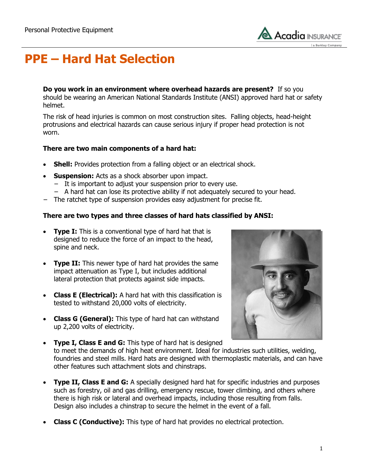

# **PPE – Hard Hat Selection**

**Do you work in an environment where overhead hazards are present?** If so you should be wearing an American National Standards Institute (ANSI) approved hard hat or safety helmet.

The risk of head injuries is common on most construction sites. Falling objects, head-height protrusions and electrical hazards can cause serious injury if proper head protection is not worn.

#### **There are two main components of a hard hat:**

- **Shell:** Provides protection from a falling object or an electrical shock.
- **Suspension:** Acts as a shock absorber upon impact.
	- − It is important to adjust your suspension prior to every use.
	- − A hard hat can lose its protective ability if not adequately secured to your head.
- − The ratchet type of suspension provides easy adjustment for precise fit.

### **There are two types and three classes of hard hats classified by ANSI:**

- **Type I:** This is a conventional type of hard hat that is designed to reduce the force of an impact to the head, spine and neck.
- **Type II:** This newer type of hard hat provides the same impact attenuation as Type I, but includes additional lateral protection that protects against side impacts.
- **Class E (Electrical):** A hard hat with this classification is tested to withstand 20,000 volts of electricity.
- **Class G (General):** This type of hard hat can withstand up 2,200 volts of electricity.



- **Type I, Class E and G:** This type of hard hat is designed to meet the demands of high heat environment. Ideal for industries such utilities, welding, foundries and steel mills. Hard hats are designed with thermoplastic materials, and can have other features such attachment slots and chinstraps.
- **Type II, Class E and G:** A specially designed hard hat for specific industries and purposes such as forestry, oil and gas drilling, emergency rescue, tower climbing, and others where there is high risk or lateral and overhead impacts, including those resulting from falls. Design also includes a chinstrap to secure the helmet in the event of a fall.
- **Class C (Conductive):** This type of hard hat provides no electrical protection.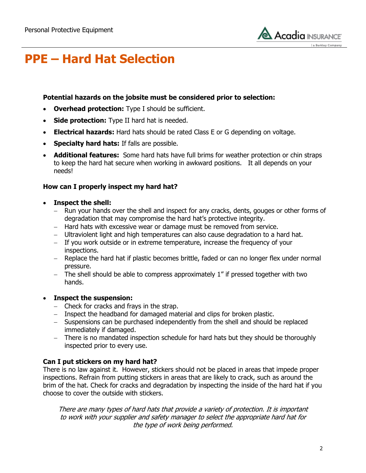

## **PPE – Hard Hat Selection**

### **Potential hazards on the jobsite must be considered prior to selection:**

- **Overhead protection:** Type I should be sufficient.
- **Side protection:** Type II hard hat is needed.
- **Electrical hazards:** Hard hats should be rated Class E or G depending on voltage.
- **Specialty hard hats:** If falls are possible.
- **Additional features:** Some hard hats have full brims for weather protection or chin straps to keep the hard hat secure when working in awkward positions. It all depends on your needs!

### **How can I properly inspect my hard hat?**

- **Inspect the shell:**
	- Run your hands over the shell and inspect for any cracks, dents, gouges or other forms of degradation that may compromise the hard hat's protective integrity.
	- Hard hats with excessive wear or damage must be removed from service.
	- Ultraviolent light and high temperatures can also cause degradation to a hard hat.
	- If you work outside or in extreme temperature, increase the frequency of your inspections.
	- Replace the hard hat if plastic becomes brittle, faded or can no longer flex under normal pressure.
	- $-$  The shell should be able to compress approximately 1" if pressed together with two hands.

#### **Inspect the suspension:**

- $-$  Check for cracks and frays in the strap.
- Inspect the headband for damaged material and clips for broken plastic.
- Suspensions can be purchased independently from the shell and should be replaced immediately if damaged.
- There is no mandated inspection schedule for hard hats but they should be thoroughly inspected prior to every use.

### **Can I put stickers on my hard hat?**

There is no law against it. However, stickers should not be placed in areas that impede proper inspections. Refrain from putting stickers in areas that are likely to crack, such as around the brim of the hat. Check for cracks and degradation by inspecting the inside of the hard hat if you choose to cover the outside with stickers.

There are many types of hard hats that provide a variety of protection. It is important to work with your supplier and safety manager to select the appropriate hard hat for the type of work being performed.